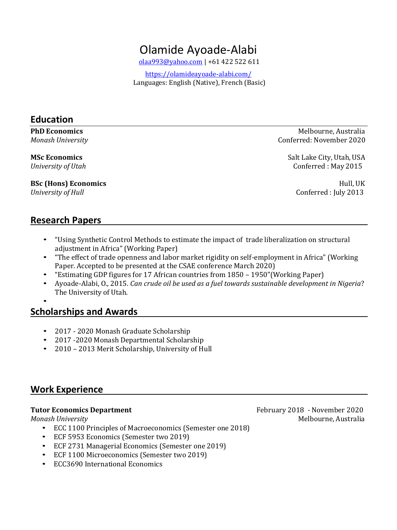# Olamide Ayoade-Alabi

[olaa993@yahoo.com](mailto:olaa993@yahoo.com) | +61 422 522 611

 <https://olamideayoade-alabi.com/> Languages: English (Native), French (Basic)

### **Education**

**BSc (Hons) Economics** Hull, UK *University of Hull* Conferred : July 2013

**PhD Economics** Melbourne, Australia *Monash University* **Conferred: November 2020** 

**MSc Economics** Salt Lake City, Utah, USA *University of Utah* Conferred : May 2015

### **Research Papers**

- "Using Synthetic Control Methods to estimate the impact of trade liberalization on structural adjustment in Africa" (Working Paper)
- "The effect of trade openness and labor market rigidity on self-employment in Africa" (Working Paper. Accepted to be presented at the CSAE conference March 2020)
- "Estimating GDP figures for 17 African countries from 1850 1950"(Working Paper)
- Ayoade-Alabi, O., 2015. *Can crude oil be used as a fuel towards sustainable development in Nigeria*? The University of Utah.

### •

# **Scholarships and Awards**

- 2017 2020 Monash Graduate Scholarship
- 2017 -2020 Monash Departmental Scholarship
- 2010 2013 Merit Scholarship, University of Hull

# **Work Experience**

- ECC 1100 Principles of Macroeconomics (Semester one 2018)
- ECF 5953 Economics (Semester two 2019)
- ECF 2731 Managerial Economics (Semester one 2019)
- ECF 1100 Microeconomics (Semester two 2019)
- ECC3690 International Economics

**Tutor Economics Department February 2018** - November 2020 *Monash University* Melbourne, Australia